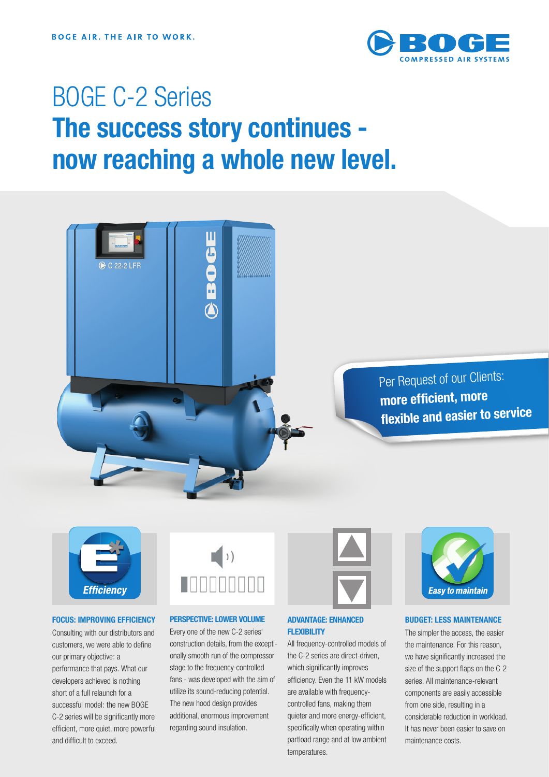

## BOGE C-2 Series The success story continues now reaching a whole new level.





#### FOCUS: IMPROVING EFFICIENCY

**Efficiency** 

Consulting with our distributors and customers, we were able to define our primary objective: a performance that pays. What our developers achieved is nothing short of a full relaunch for a successful model: the new BOGE C-2 series will be significantly more efficient, more quiet, more powerful and difficult to exceed.



#### PERSPECTIVE: LOWER VOLUME

Every one of the new C-2 series' construction details, from the exceptionally smooth run of the compressor stage to the frequency-controlled fans - was developed with the aim of utilize its sound-reducing potential. The new hood design provides additional, enormous improvement regarding sound insulation.



#### ADVANTAGE: ENHANCED **FLEXIBILITY**

All frequency-controlled models of the C-2 series are direct-driven, which significantly improves efficiency. Even the 11 kW models are available with frequencycontrolled fans, making them quieter and more energy-efficient, specifically when operating within partload range and at low ambient temperatures.



#### BUDGET: LESS MAINTENANCE

The simpler the access, the easier the maintenance. For this reason, we have significantly increased the size of the support flaps on the C-2 series. All maintenance-relevant components are easily accessible from one side, resulting in a considerable reduction in workload. It has never been easier to save on maintenance costs.